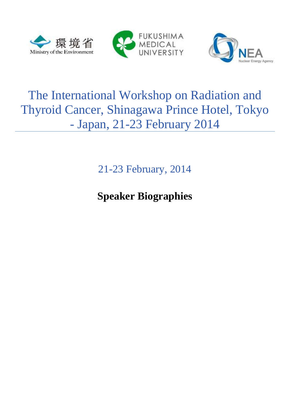





# The International Workshop on Radiation and Thyroid Cancer, Shinagawa Prince Hotel, Tokyo - Japan, 21-23 February 2014

21-23 February, 2014

**Speaker Biographies**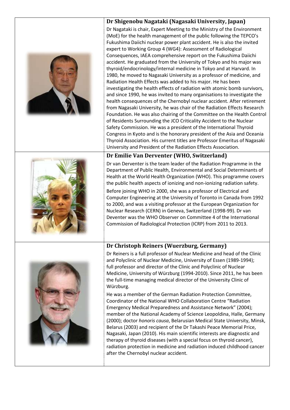|  | Dr Shigenobu Nagataki (Nagasaki University, Japan)                                                                                                                                                                                                                                                                                                                                                                                                                                                                                                                                                                                                                                                                                                                                                                                                                                                                                                                                                                                                                                                                                                                                                                                                                                                                                                                                                                      |
|--|-------------------------------------------------------------------------------------------------------------------------------------------------------------------------------------------------------------------------------------------------------------------------------------------------------------------------------------------------------------------------------------------------------------------------------------------------------------------------------------------------------------------------------------------------------------------------------------------------------------------------------------------------------------------------------------------------------------------------------------------------------------------------------------------------------------------------------------------------------------------------------------------------------------------------------------------------------------------------------------------------------------------------------------------------------------------------------------------------------------------------------------------------------------------------------------------------------------------------------------------------------------------------------------------------------------------------------------------------------------------------------------------------------------------------|
|  | Dr Nagataki is chair, Expert Meeting to the Ministry of the Environment<br>(MoE) for the health management of the public following the TEPCO's<br>Fukushima Daiichi nuclear power plant accident. He is also the invited<br>expert to Working Group 4 (WG4): Assessment of Radiological<br>Consequences, IAEA comprehensive report on the Fukushima Daiichi<br>accident. He graduated from the University of Tokyo and his major was<br>thyroid/endocrinology/internal medicine in Tokyo and at Harvard. In<br>1980, he moved to Nagasaki University as a professor of medicine, and<br>Radiation Health Effects was added to his major. He has been<br>investigating the health effects of radiation with atomic bomb survivors,<br>and since 1990, he was invited to many organisations to investigate the<br>health consequences of the Chernobyl nuclear accident. After retirement<br>from Nagasaki University, he was chair of the Radiation Effects Research<br>Foundation. He was also chairing of the Committee on the Health Control<br>of Residents Surrounding the JCO Criticality Accident to the Nuclear<br>Safety Commission. He was a president of the International Thyroid<br>Congress in Kyoto and is the honorary president of the Asia and Oceania<br>Thyroid Association. His current titles are Professor Emeritus of Nagasaki<br>University and President of the Radiation Effects Association. |
|  | Dr Emilie Van Derventer (WHO, Switzerland)                                                                                                                                                                                                                                                                                                                                                                                                                                                                                                                                                                                                                                                                                                                                                                                                                                                                                                                                                                                                                                                                                                                                                                                                                                                                                                                                                                              |
|  | Dr van Derventer is the team leader of the Radiation Programme in the<br>Department of Public Health, Environmental and Social Determinants of<br>Health at the World Health Organization (WHO). This programme covers<br>the public health aspects of ionizing and non-ionizing radiation safety.<br>Before joining WHO in 2000, she was a professor of Electrical and<br>Computer Engineering at the University of Toronto in Canada from 1992<br>to 2000, and was a visiting professor at the European Organization for<br>Nuclear Research (CERN) in Geneva, Switzerland (1998-99). Dr van<br>Deventer was the WHO Observer on Committee 4 of the International<br>Commission of Radiological Protection (ICRP) from 2011 to 2013.                                                                                                                                                                                                                                                                                                                                                                                                                                                                                                                                                                                                                                                                                  |
|  | Dr Christoph Reiners (Wuerzburg, Germany)                                                                                                                                                                                                                                                                                                                                                                                                                                                                                                                                                                                                                                                                                                                                                                                                                                                                                                                                                                                                                                                                                                                                                                                                                                                                                                                                                                               |
|  | Dr Reiners is a full professor of Nuclear Medicine and head of the Clinic<br>and Polyclinic of Nuclear Medicine, University of Essen (1989-1994);<br>full professor and director of the Clinic and Polyclinic of Nuclear<br>Medicine, University of Würzburg (1994-2010). Since 2011, he has been<br>the full-time managing medical director of the University Clinic of<br>Würzburg.<br>He was a member of the German Radiation Protection Committee,                                                                                                                                                                                                                                                                                                                                                                                                                                                                                                                                                                                                                                                                                                                                                                                                                                                                                                                                                                  |
|  | Coordinator of the National WHO Collaboration Centre "Radiation"<br>Emergency Medical Preparedness and Assistance Network" (2004);<br>member of the National Academy of Science Leopoldina, Halle, Germany<br>(2000); doctor honoris causa, Belarusian Medical State University, Minsk,<br>Belarus (2003) and recipient of the Dr Takashi Peace Memorial Price,<br>Nagasaki, Japan (2010). His main scientific interests are diagnostic and<br>therapy of thyroid diseases (with a special focus on thyroid cancer),<br>radiation protection in medicine and radiation induced childhood cancer<br>after the Chernobyl nuclear accident.                                                                                                                                                                                                                                                                                                                                                                                                                                                                                                                                                                                                                                                                                                                                                                                |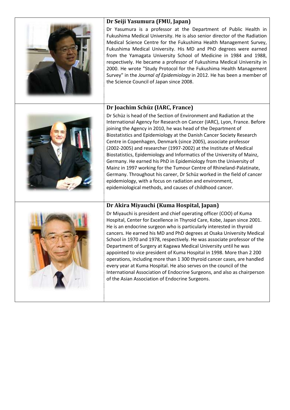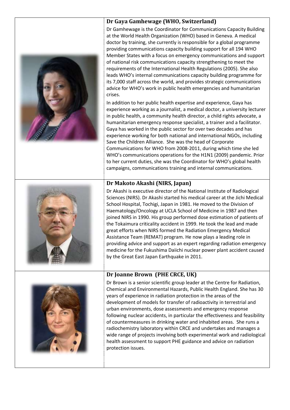#### **Dr Gaya Gamhewage (WHO, Switzerland)**



Dr Gamhewage is the Coordinator for Communications Capacity Building at the World Health Organization (WHO) based in Geneva. A medical doctor by training, she currently is responsible for a global programme providing communications capacity building support for all 194 WHO Member States with a focus on emergency communications and support of national risk communications capacity strengthening to meet the requirements of the International Health Regulations (2005). She also leads WHO's internal communications capacity building programme for its 7,000 staff across the world, and provides strategic communications advice for WHO's work in public health emergencies and humanitarian crises.

In addition to her public health expertise and experience, Gaya has experience working as a journalist, a medical doctor, a university lecturer in public health, a community health director, a child rights advocate, a humanitarian emergency response specialist, a trainer and a facilitator. Gaya has worked in the public sector for over two decades and has experience working for both national and international NGOs, including Save the Children Alliance. She was the head of Corporate Communications for WHO from 2008-2011, during which time she led WHO's communications operations for the H1N1 (2009) pandemic. Prior to her current duties, she was the Coordinator for WHO's global health campaigns, communications training and internal communications.

# **Dr Makoto Akashi (NIRS, Japan)**

Dr Akashi is executive director of the National Institute of Radiological Sciences (NIRS). Dr Akashi started his medical career at the Jichi Medical School Hospital, Tochigi, Japan in 1981. He moved to the Division of Haematology/Oncology at UCLA School of Medicine in 1987 and then joined NIRS in 1990. His group performed dose estimation of patients of the Tokaimura criticality accident in 1999. He took the lead and made great efforts when NIRS formed the Radiation Emergency Medical Assistance Team (REMAT) program. He now plays a leading role in providing advice and support as an expert regarding radiation emergency medicine for the Fukushima Daiichi nuclear power plant accident caused by the Great East Japan Earthquake in 2011.



# **Dr Joanne Brown (PHE CRCE, UK)**

Dr Brown is a senior scientific group leader at the Centre for Radiation, Chemical and Environmental Hazards, Public Health England. She has 30 years of experience in radiation protection in the areas of the development of models for transfer of radioactivity in terrestrial and urban environments, dose assessments and emergency response following nuclear accidents, in particular the effectiveness and feasibility of countermeasures in drinking water and inhabited areas. She runs a radiochemistry laboratory within CRCE and undertakes and manages a wide range of projects involving both experimental work and radiological health assessment to support PHE guidance and advice on radiation protection issues.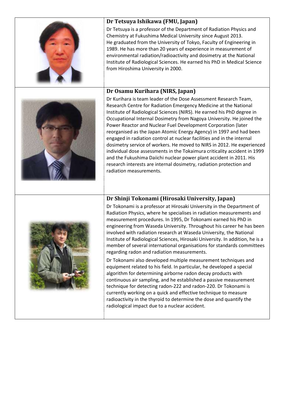| Dr Tetsuya Ishikawa (FMU, Japan)<br>Dr Tetsuya is a professor of the Department of Radiation Physics and<br>Chemistry at Fukushima Medical University since August 2013.<br>He graduated from the University of Tokyo, Faculty of Engineering in<br>1989. He has more than 20 years of experience in measurement of<br>environmental radiation/radioactivity and dosimetry at the National<br>Institute of Radiological Sciences. He earned his PhD in Medical Science<br>from Hiroshima University in 2000.                                                                                                                                                                                                                                                                                                                                                                 |
|------------------------------------------------------------------------------------------------------------------------------------------------------------------------------------------------------------------------------------------------------------------------------------------------------------------------------------------------------------------------------------------------------------------------------------------------------------------------------------------------------------------------------------------------------------------------------------------------------------------------------------------------------------------------------------------------------------------------------------------------------------------------------------------------------------------------------------------------------------------------------|
| Dr Osamu Kurihara (NIRS, Japan)<br>Dr Kurihara is team leader of the Dose Assessment Research Team,<br>Research Centre for Radiation Emergency Medicine at the National<br>Institute of Radiological Sciences (NIRS). He earned his PhD degree in<br>Occupational Internal Dosimetry from Nagoya University. He joined the<br>Power Reactor and Nuclear Fuel Development Corporation (later<br>reorganised as the Japan Atomic Energy Agency) in 1997 and had been<br>engaged in radiation control at nuclear facilities and in the internal<br>dosimetry service of workers. He moved to NIRS in 2012. He experienced<br>individual dose assessments in the Tokaimura criticality accident in 1999<br>and the Fukushima Daiichi nuclear power plant accident in 2011. His<br>research interests are internal dosimetry, radiation protection and<br>radiation measurements. |
| Dr Shinji Tokonami (Hirosaki University, Japan)                                                                                                                                                                                                                                                                                                                                                                                                                                                                                                                                                                                                                                                                                                                                                                                                                              |



Dr Tokonami is a professor at Hirosaki University in the Department of Radiation Physics, where he specialises in radiation measurements and measurement procedures. In 1995, Dr Tokonami earned his PhD in engineering from Waseda University. Throughout his career he has been involved with radiation research at Waseda University, the National Institute of Radiological Sciences, Hirosaki University. In addition, he is a member of several international organisations for standards committees regarding radon and radiation measurements.

Dr Tokonami also developed multiple measurement techniques and equipment related to his field. In particular, he developed a special algorithm for determining airborne radon decay products with continuous air sampling, and he established a passive measurement technique for detecting radon-222 and radon-220. Dr Tokonami is currently working on a quick and effective technique to measure radioactivity in the thyroid to determine the dose and quantify the radiological impact due to a nuclear accident.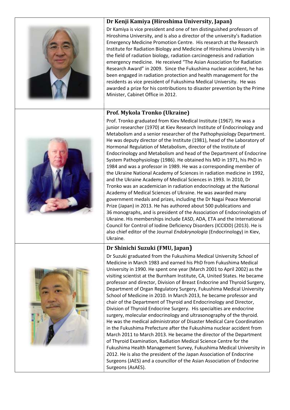

#### **Dr Kenji Kamiya (Hiroshima University, Japan)**

Dr Kamiya is vice president and one of ten distinguished professors of Hiroshima University, and is also a director of the university's Radiation Emergency Medicine Promotion Centre. His research at the Research Institute for Radiation Biology and Medicine of Hiroshima University is in the field of radiation biology, radiation carcinogenesis and radiation emergency medicine. He received "The Asian Association for Radiation Research Award" in 2009. Since the Fukushima nuclear accident, he has been engaged in radiation protection and health management for the residents as vice president of Fukushima Medical University. He was awarded a prize for his contributions to disaster prevention by the Prime Minister, Cabinet Office in 2012.

#### **Prof. Mykola Tronko (Ukraine)**



Prof. Tronko graduated from Kiev Medical Institute (1967). He was a junior researcher (1970) at Kiev Research Institute of Endocrinology and Metabolism and a senior researcher of the Pathophysiology Department. He was deputy director of the Institute (1981), head of the Laboratory of Hormonal Regulation of Metabolism, director of the Institute of Endocrinology and Metabolism and head of the Department of Endocrine System Pathophysiology (1986). He obtained his MD in 1971, his PhD in 1984 and was a professor in 1989. He was a corresponding member of the Ukraine National Academy of Sciences in radiation medicine in 1992, and the Ukraine Academy of Medical Sciences in 1993. In 2010, Dr Tronko was an academician in radiation endocrinology at the National Academy of Medical Sciences of Ukraine. He was awarded many government medals and prizes, including the Dr Nagai Peace Memorial Prize (Japan) in 2013. He has authored about 500 publications and 36 monographs, and is president of the Association of Endocrinologists of Ukraine. His memberships include EASD, ADA, ETA and the International Council for Control of Iodine Deficiency Disorders (ICCIDD) (2013). He is also chief editor of the Journal *Endokrynologia* (Endocrinology) in Kiev, Ukraine.

# **Dr Shinichi Suzuki (FMU, Japan)**



Dr Suzuki graduated from the Fukushima Medical University School of Medicine in March 1983 and earned his PhD from Fukushima Medical University in 1990. He spent one year (March 2001 to April 2002) as the visiting scientist at the Burnham Institute, CA, United States. He became professor and director, Division of Breast Endocrine and Thyroid Surgery, Department of Organ Regulatory Surgery, Fukushima Medical University School of Medicine in 2010. In March 2013, he became professor and chair of the Department of Thyroid and Endocrinology and Director, Division of Thyroid Endocrine Surgery. His specialties are endocrine surgery, molecular endocrinology and ultrasonography of the thyroid. He was the medical administrator of Disaster Medical Care Coordination in the Fukushima Prefecture after the Fukushima nuclear accident from March 2011 to March 2013. He became the director of the Department of Thyroid Examination, Radiation Medical Science Centre for the Fukushima Health Management Survey, Fukushima Medical University in 2012. He is also the president of the Japan Association of Endocrine Surgeons (JAES) and a councillor of the Asian Association of Endocrine Surgeons (AsAES).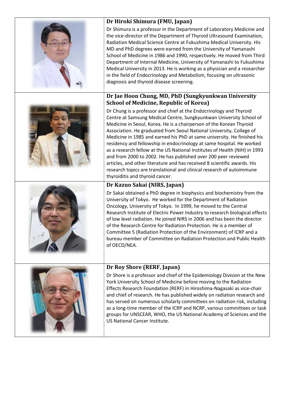| Dr Hiroki Shimura (FMU, Japan)                                                                                                                                                                                                                                                                                                                                                                                                                                                                                                                                                                                                                                                                                                                                                       |
|--------------------------------------------------------------------------------------------------------------------------------------------------------------------------------------------------------------------------------------------------------------------------------------------------------------------------------------------------------------------------------------------------------------------------------------------------------------------------------------------------------------------------------------------------------------------------------------------------------------------------------------------------------------------------------------------------------------------------------------------------------------------------------------|
| Dr Shimura is a professor in the Department of Laboratory Medicine and<br>the vice-director of the Department of Thyroid Ultrasound Examination,<br>Radiation Medical Science Centre at Fukushima Medical University. His<br>MD and PhD degrees were earned from the University of Yamanashi<br>School of Medicine in 1986 and 1990, respectively. He moved from Third<br>Department of Internal Medicine, University of Yamanashi to Fukushima<br>Medical University in 2013. He is working as a physician and a researcher<br>in the field of Endocrinology and Metabolism, focusing on ultrasonic<br>diagnosis and thyroid disease screening.                                                                                                                                     |
| Dr Jae Hoon Chung, MD, PhD (Sungkyunkwan University<br><b>School of Medicine, Republic of Korea)</b>                                                                                                                                                                                                                                                                                                                                                                                                                                                                                                                                                                                                                                                                                 |
| Dr Chung is a professor and chief at the Endocrinology and Thyroid<br>Centre at Samsung Medical Centre, Sungkyunkwan University School of<br>Medicine in Seoul, Korea. He is a chairperson of the Korean Thyroid<br>Association. He graduated from Seoul National University, College of<br>Medicine in 1985 and earned his PhD at same university. He finished his<br>residency and fellowship in endocrinology at same hospital. He worked<br>as a research fellow at the US National Institutes of Health (NIH) in 1993<br>and from 2000 to 2002. He has published over 200 peer reviewed<br>articles, and other literature and has received 8 scientific awards. His<br>research topics are translational and clinical research of autoimmune<br>thyroiditis and thyroid cancer. |
| Dr Kazuo Sakai (NIRS, Japan)                                                                                                                                                                                                                                                                                                                                                                                                                                                                                                                                                                                                                                                                                                                                                         |
| Dr Sakai obtained a PhD degree in biophysics and biochemistry from the<br>University of Tokyo. He worked for the Department of Radiation<br>Oncology, University of Tokyo. In 1999, he moved to the Central<br>Research Institute of Electric Power Industry to research biological effects<br>of low level radiation. He joined NIRS in 2006 and has been the director<br>of the Research Centre for Radiation Protection. He is a member of<br>Committee 5 (Radiation Protection of the Environment) of ICRP and a<br>bureau member of Committee on Radiation Protection and Public Health<br>of OECD/NEA.                                                                                                                                                                         |
| Dr Roy Shore (RERF, Japan)                                                                                                                                                                                                                                                                                                                                                                                                                                                                                                                                                                                                                                                                                                                                                           |
| Dr Shore is a professor and chief of the Epidemiology Division at the New<br>York University School of Medicine before moving to the Radiation<br>Effects Research Foundation (RERF) in Hiroshima-Nagasaki as vice-chair<br>and chief of research. He has published widely on radiation research and<br>has served on numerous scholarly committees on radiation risk, including<br>as a long-time member of the ICRP and NCRP, various committees or task<br>groups for UNSCEAR, WHO, the US National Academy of Sciences and the<br>US National Cancer Institute.                                                                                                                                                                                                                  |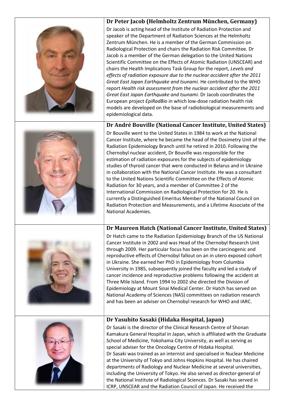



Dr Jacob is acting head of the Institute of Radiation Protection and speaker of the Department of Radiation Sciences at the Helmholtz Zentrum München. He is a member of the German Commission on Radiological Protection and chairs the Radiation Risk Committee. Dr Jacob is a member of the German delegation to the United Nations Scientific Committee on the Effects of Atomic Radiation (UNSCEAR) and chairs the Health Implications Task Group for the report, *Levels and effects of radiation exposure due to the nuclear accident after the 2011 Great East Japan Earthquake and tsunami.* He contributed to the WHO report *Health risk assessment from the nuclear accident after the 2011 Great East Japan Earthquake and tsunami.* Dr Jacob coordinates the European project *EpiRadBio* in which low-dose radiation health risk models are developed on the base of radiobiological measurements and epidemiological data.

# **Dr André Bouville (National Cancer Institute, United States)**



Dr Bouville went to the United States in 1984 to work at the National Cancer Institute, where he became the head of the Dosimetry Unit of the Radiation Epidemiology Branch until he retired in 2010. Following the Chernobyl nuclear accident, Dr Bouville was responsible for the estimation of radiation exposures for the subjects of epidemiology studies of thyroid cancer that were conducted in Belarus and in Ukraine in collaboration with the National Cancer Institute. He was a consultant to the United Nations Scientific Committee on the Effects of Atomic Radiation for 30 years, and a member of Committee 2 of the International Commission on Radiological Protection for 20. He is currently a Distinguished Emeritus Member of the National Council on Radiation Protection and Measurements, and a Lifetime Associate of the National Academies.

# **Dr Maureen Hatch (National Cancer Institute, United States)**



Dr Hatch came to the Radiation Epidemiology Branch of the US National Cancer Institute in 2002 and was Head of the Chernobyl Research Unit through 2009. Her particular focus has been on the carcinogenic and reproductive effects of Chernobyl fallout on an in utero exposed cohort in Ukraine. She earned her PhD in Epidemiology from Columbia University in 1985, subsequently joined the faculty and led a study of cancer incidence and reproductive problems following the accident at Three Mile Island. From 1994 to 2002 she directed the Division of Epidemiology at Mount Sinai Medical Center. Dr Hatch has served on National Academy of Sciences (NAS) committees on radiation research and has been an adviser on Chernobyl research for WHO and IARC.



# **Dr Yasuhito Sasaki (Hidaka Hospital, Japan)**

Dr Sasaki is the director of the Clinical Research Centre of Shonan Kamakura General Hospital in Japan, which is affiliated with the Graduate School of Medicine, Yokohama City University, as well as serving as special adviser for the Oncology Centre of Hidaka Hospital. Dr Sasaki was trained as an internist and specialised in Nuclear Medicine at the University of Tokyo and Johns Hopkins Hospital. He has chaired departments of Radiology and Nuclear Medicine at several universities, including the University of Tokyo. He also served as director-general of the National Institute of Radiological Sciences. Dr Sasaki has served in ICRP, UNSCEAR and the Radiation Council of Japan. He received the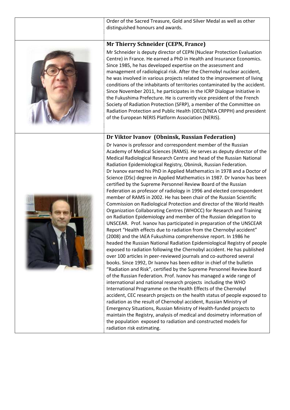Order of the Sacred Treasure, Gold and Silver Medal as well as other distinguished honours and awards.



**Mr Thierry Schneider (CEPN, France)**

Mr Schneider is deputy director of CEPN (Nuclear Protection Evaluation Centre) in France. He earned a PhD in Health and Insurance Economics. Since 1985, he has developed expertise on the assessment and management of radiological risk. After the Chernobyl nuclear accident, he was involved in various projects related to the improvement of living conditions of the inhabitants of territories contaminated by the accident. Since November 2011, he participates in the ICRP Dialogue Initiative in the Fukushima Prefecture. He is currently vice president of the French Society of Radiation Protection (SFRP), a member of the Committee on Radiation Protection and Public Health (OECD/NEA CRPPH) and president of the European NERIS Platform Association (NERIS).

#### **Dr Viktor Ivanov (Obninsk, Russian Federation)**



Dr Ivanov is professor and correspondent member of the Russian Academy of Medical Sciences (RAMS). He serves as deputy director of the Medical Radiological Research Centre and head of the Russian National Radiation Epidemiological Registry, Obninsk, Russian Federation. Dr Ivanov earned his PhD in Applied Mathematics in 1978 and a Doctor of Science (DSc) degree in Applied Mathematics in 1987. Dr Ivanov has been certified by the Supreme Personnel Review Board of the Russian Federation as professor of radiology in 1996 and elected correspondent member of RAMS in 2002. He has been chair of the Russian Scientific Commission on Radiological Protection and director of the World Health Organization Collaborating Centres (WHOCC) for Research and Training on Radiation Epidemiology and member of the Russian delegation to UNSCEAR. Prof. Ivanov has participated in preparation of the UNSCEAR Report "Health effects due to radiation from the Chernobyl accident" (2008) and the IAEA Fukushima comprehensive report. In 1986 he headed the Russian National Radiation Epidemiological Registry of people exposed to radiation following the Chernobyl accident. He has published over 100 articles in peer-reviewed journals and co-authored several books. Since 1992, Dr Ivanov has been editor in chief of the bulletin "Radiation and Risk", certified by the Supreme Personnel Review Board of the Russian Federation. Prof. Ivanov has managed a wide range of international and national research projects including the WHO International Programme on the Health Effects of the Chernobyl accident, CEC research projects on the health status of people exposed to radiation as the result of Chernobyl accident, Russian Ministry of Emergency Situations, Russian Ministry of Health-funded projects to maintain the Registry, analysis of medical and dosimetry information of the population exposed to radiation and constructed models for radiation risk estimating.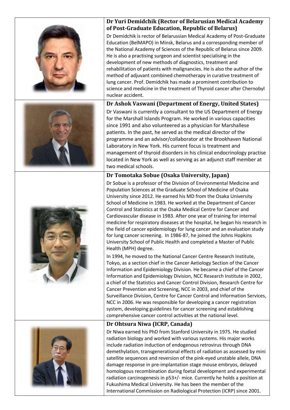

Population Sciences at the Graduate School of Medicine of Osaka University since 2012. He earned his MD from the Osaka University School of Medicine in 1983. He worked at the Department of Cancer Control and Statistics at the Osaka Medical Centre for Cancer and Cardiovascular disease in 1983. After one year of training for internal medicine for respiratory diseases at the hospital, he began his research in the field of cancer epidemiology for lung cancer and an evaluation study for lung cancer screening. In 1986-87, he joined the Johns Hopkins University School of Public Health and completed a Master of Public Health (MPH) degree.

In 1994, he moved to the National Cancer Centre Research Institute, Tokyo, as a section chief in the Cancer Aetiology Section of the Cancer Information and Epidemiology Division. He became a chief of the Cancer Information and Epidemiology Division, NCC Research Institute in 2002, a chief of the Statistics and Cancer Control Division, Research Centre for Cancer Prevention and Screening, NCC in 2003, and chief of the Surveillance Division, Centre for Cancer Control and Information Services, NCC in 2006. He was responsible for developing a cancer registration system, developing guidelines for cancer screening and establishing comprehensive cancer control activities at the national level.

# **Dr Ohtsura Niwa (ICRP, Canada)**

Dr Niwa earned his PhD from Stanford University in 1975. He studied radiation biology and worked with various systems. His major works include radiation induction of endogenous retrovirus through DNA demethylation, transgenerational effects of radiation as assessed by mini satellite sequences and reversion of the pink-eyed unstable allele, DNA damage response in pre-implantation stage mouse embryos, delayed homologous recombination during foetal development and experimental radiation carcinogenesis in p53+/- mice. Currently he holds a position at Fukushima Medical University. He has been the member of the International Commission on Radiological Protection (ICRP) since 2001.



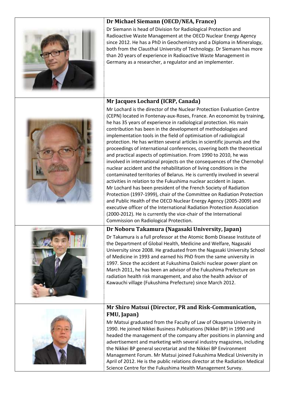

**Dr Michael Siemann (OECD/NEA, France)**

Dr Siemann is head of Division for Radiological Protection and Radioactive Waste Management at the OECD Nuclear Energy Agency since 2012. He has a PhD in Geochemistry and a Diploma in Mineralogy, both from the Clausthal University of Technology. Dr Siemann has more than 20 years of experience in Radioactive Waste Management in Germany as a researcher, a regulator and an implementer.

#### **Mr Jacques Lochard (ICRP, Canada)** Mr Lochard is the director of the Nuclear Protection Evaluation Centre







# **Dr Noboru Takamura (Nagasaki University, Japan)**

Dr Takamura is a full professor at the Atomic Bomb Disease Institute of the Department of Global Health, Medicine and Welfare, Nagasaki University since 2008. He graduated from the Nagasaki University School of Medicine in 1993 and earned his PhD from the same university in 1997. Since the accident at Fukushima Daiichi nuclear power plant on March 2011, he has been an advisor of the Fukushima Prefecture on radiation health risk management, and also the health advisor of Kawauchi village (Fukushima Prefecture) since March 2012.



#### **Mr Shiro Matsui (Director, PR and Risk-Communication, FMU, Japan)**

Mr Matsui graduated from the Faculty of Law of Okayama University in 1990. He joined Nikkei Business Publications (Nikkei BP) in 1990 and headed the management of the company after positions in planning and advertisement and marketing with several industry magazines, including the Nikkei BP general secretariat and the Nikkei BP Environment Management Forum. Mr Matsui joined Fukushima Medical University in April of 2012. He is the public relations director at the Radiation Medical Science Centre for the Fukushima Health Management Survey.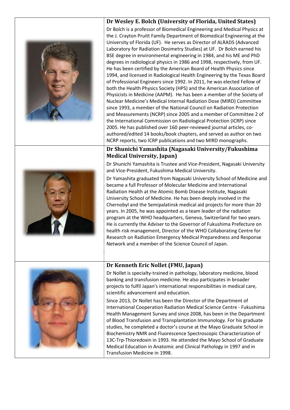

years. In 2005, he was appointed as a team leader of the radiation program at the WHO headquarters, Geneva, Switzerland for two years. He is currently the Adviser to the Governor of Fukushima Prefecture on health risk management, Director of the WHO Collaborating Centre for Research on Radiation Emergency Medical Preparedness and Response Network and a member of the Science Council of Japan.



# **Dr Kenneth Eric Nollet (FMU, Japan)**

Dr Nollet is specialty-trained in pathology, laboratory medicine, blood banking and transfusion medicine. He also participates in broader projects to fulfil Japan's international responsibilities in medical care, scientific advancement and education.

Since 2013, Dr Nollet has been the Director of the Department of International Cooperation Radiation Medical Science Centre - Fukushima Health Management Survey and since 2008, has been in the Department of Blood Transfusion and Transplantation Immunology. For his graduate studies, he completed a doctor's course at the Mayo Graduate School in Biochemistry NMR and Fluorescence Spectroscopic Characterization of 13C-Trp-Thioredoxin in 1993. He attended the Mayo School of Graduate Medical Education in Anatomic and Clinical Pathology in 1997 and in Transfusion Medicine in 1998.